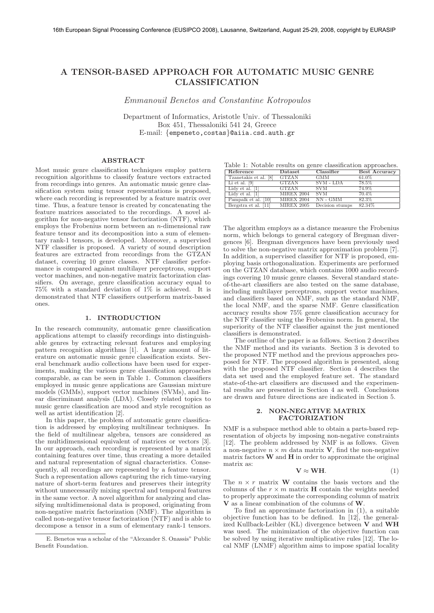# **A TENSOR-BASED APPROACH FOR AUTOMATIC MUSIC GENRE CLASSIFICATION**

*Emmanouil Benetos and Constantine Kotropoulos*

Department of Informatics, Aristotle Univ. of Thessaloniki Box 451, Thessaloniki 541 24, Greece E-mail: *{*empeneto,costas*}*@aiia.csd.auth.gr

## **ABSTRACT**

Most music genre classification techniques employ pattern recognition algorithms to classify feature vectors extracted from recordings into genres. An automatic music genre classification system using tensor representations is proposed, where each recording is represented by a feature matrix over time. Thus, a feature tensor is created by concatenating the feature matrices associated to the recordings. A novel algorithm for non-negative tensor factorization (NTF), which employs the Frobenius norm between an  $n$ -dimensional raw feature tensor and its decomposition into a sum of elementary rank-1 tensors, is developed. Moreover, a supervised NTF classifier is proposed. A variety of sound description features are extracted from recordings from the GTZAN dataset, covering 10 genre classes. NTF classifier performance is compared against multilayer perceptrons, support vector machines, and non-negative matrix factorization classifiers. On average, genre classification accuracy equal to 75% with a standard deviation of 1% is achieved. It is demonstrated that NTF classifiers outperform matrix-based ones.

## **1. INTRODUCTION**

In the research community, automatic genre classification applications attempt to classify recordings into distinguishable genres by extracting relevant features and employing pattern recognition algorithms [1]. A large amount of literature on automatic music genre classification exists. Several benchmark audio collections have been used for experiments, making the various genre classification approaches comparable, as can be seen in Table 1. Common classifiers employed in music genre applications are Gaussian mixture models (GMMs), support vector machines (SVMs), and linear discriminant analysis (LDA). Closely related topics to music genre classification are mood and style recognition as well as artist identification [2].

In this paper, the problem of automatic genre classification is addressed by employing multilinear techniques. In the field of multilinear algebra, tensors are considered as the multidimensional equivalent of matrices or vectors [3]. In our approach, each recording is represented by a matrix containing features over time, thus creating a more detailed and natural representation of signal characteristics. Consequently, all recordings are represented by a feature tensor. Such a representation allows capturing the rich time-varying nature of short-term features and preserves their integrity without unnecessarily mixing spectral and temporal features in the same vector. A novel algorithm for analyzing and classifying multidimensional data is proposed, originating from non-negative matrix factorization (NMF). The algorithm is called non-negative tensor factorization (NTF) and is able to decompose a tensor in a sum of elementary rank-1 tensors.

Table 1: Notable results on genre classification approaches.

| Reference             | Dataset           | Classifier      | <b>Best Accuracy</b> |
|-----------------------|-------------------|-----------------|----------------------|
| Tzanetakis et al. [8] | <b>GTZAN</b>      | <b>GMM</b>      | 61.0%                |
| Li et al. [9]         | GTZAN             | SVM - LDA       | 78.5%                |
| Lidy et al. [1]       | <b>GTZAN</b>      | <b>SVM</b>      | 74.9%                |
| Lidy et al. [1]       | <b>MIREX 2004</b> | -SVM            | $70.4\%$             |
| Pampalk et al. [10]   | <b>MIREX 2004</b> | NN - GMM        | 82.3%                |
| Bergstra et al. [11]  | <b>MIREX 2005</b> | Decision stumps | 82.34%               |
|                       |                   |                 |                      |

The algorithm employs as a distance measure the Frobenius norm, which belongs to general category of Bregman divergences [6]. Bregman divergences have been previously used to solve the non-negative matrix approximation problem [7]. In addition, a supervised classifier for NTF is proposed, employing basis orthogonalization. Experiments are performed on the GTZAN database, which contains 1000 audio recordings covering 10 music genre classes. Several standard stateof-the-art classifiers are also tested on the same database, including multilayer perceptrons, support vector machines, and classifiers based on NMF, such as the standard NMF, the local NMF, and the sparse NMF. Genre classification accuracy results show 75% genre classification accuracy for the NTF classifier using the Frobenius norm. In general, the superiority of the NTF classifier against the just mentioned classifiers is demonstrated.

The outline of the paper is as follows. Section 2 describes the NMF method and its variants. Section 3 is devoted to the proposed NTF method and the previous approaches proposed for NTF. The proposed algorithm is presented, along with the proposed NTF classifier. Section 4 describes the data set used and the employed feature set. The standard state-of-the-art classifiers are discussed and the experimental results are presented in Section 4 as well. Conclusions are drawn and future directions are indicated in Section 5.

## **2. NON-NEGATIVE MATRIX FACTORIZATION**

NMF is a subspace method able to obtain a parts-based representation of objects by imposing non-negative constraints [12]. The problem addressed by NMF is as follows. Given a non-negative  $n \times m$  data matrix **V**, find the non-negative matrix factors **W** and **H** in order to approximate the original matrix as:

$$
\mathbf{V} \approx \mathbf{WH}.\tag{1}
$$

The  $n \times r$  matrix **W** contains the basis vectors and the columns of the  $r \times m$  matrix **H** contain the weights needed to properly approximate the corresponding column of matrix **V** as a linear combination of the columns of **W**.

To find an approximate factorization in (1), a suitable objective function has to be defined. In  $[12]$ , the generalized Kullback-Leibler (KL) divergence between **V** and **WH** was used. The minimization of the objective function can be solved by using iterative multiplicative rules [12]. The local NMF (LNMF) algorithm aims to impose spatial locality

E. Benetos was a scholar of the "Alexander S. Onassis" Public Benefit Foundation.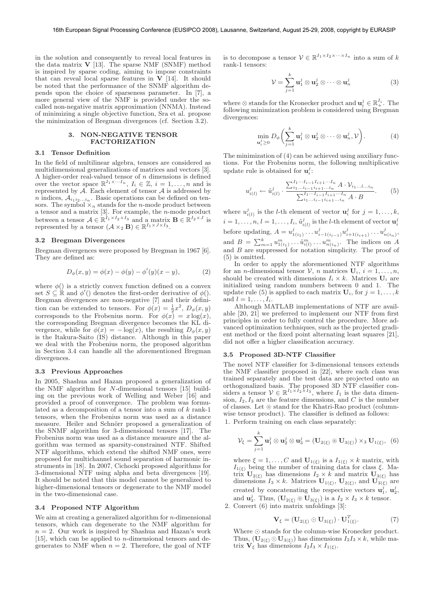in the solution and consequently to reveal local features in the data matrix  $V$  [13]. The sparse NMF (SNMF) method is inspired by sparse coding, aiming to impose constraints that can reveal local sparse features in  $V$  [14]. It should be noted that the performance of the SNMF algorithm depends upon the choice of sparseness parameter. In [7], a more general view of the NMF is provided under the socalled non-negative matrix approximation (NNMA). Instead of minimizing a single objective function, Sra et al. propose the minimization of Bregman divergences (cf. Section 3.2).

## **3. NON-NEGATIVE TENSOR FACTORIZATION**

## **3.1 Tensor Definition**

In the field of multilinear algebra, tensors are considered as multidimensional generalizations of matrices and vectors [3]. A higher-order real-valued tensor of *n* dimensions is defined over the vector space  $\mathbb{R}^{I_1 \times \cdots I_n}$ ,  $I_i \in \mathbb{Z}$ ,  $i = 1, \ldots, n$  and is represented by  $\mathcal{A}$ . Each element of tensor  $\mathcal A$  is addressed by  $n$  indices,  $A_{i_1 i_2 \ldots i_n}$ . Basic operations can be defined on tensors. The symbol  $\times_n$  stands for the *n*-mode product between a tensor and a matrix  $[3]$ . For example, the *n*-mode product between a tensor  $A \in \mathbb{R}^{I_1 \times I_2 \times I_3}$  and a matrix  $\mathbf{B} \in \mathbb{R}^{I_2 \times J}$  is represented by a tensor  $(\mathcal{A} \times_2 \mathbf{B}) \in \mathbb{R}^{I_1 \times J \times I_3}$ .

#### **3.2 Bregman Divergences**

Bregman divergences were proposed by Bregman in 1967 [6]. They are defined as:

$$
D_{\phi}(x, y) = \phi(x) - \phi(y) - \phi'(y)(x - y), \tag{2}
$$

where  $\phi()$  is a strictly convex function defined on a convex set  $S \subseteq \mathbb{R}$  and  $\phi'()$  denotes the first-order derivative of  $\phi()$ . Bregman divergences are non-negative [7] and their definition can be extended to tensors. For  $\phi(x) = \frac{1}{2}x^2$ ,  $D_{\phi}(x, y)$ corresponds to the Frobenius norm. For  $\phi(x) = x \log(x)$ , the corresponding Bregman divergence becomes the KL divergence, while for  $\phi(x) = -\log(x)$ , the resulting  $D_{\phi}(x, y)$ is the Itakura-Saito (IS) distance. Although in this paper we deal with the Frobenius norm, the proposed algorithm in Section 3.4 can handle all the aforementioned Bregman divergences.

#### **3.3 Previous Approaches**

In 2005, Shashua and Hazan proposed a generalization of the NMF algorithm for N-dimensional tensors [15] building on the previous work of Welling and Weber [16] and provided a proof of convergence. The problem was formulated as a decomposition of a tensor into a sum of k rank-1 tensors, when the Frobenius norm was used as a distance measure. Heiler and Schnörr proposed a generalization of the SNMF algorithm for 3-dimensional tensors [17]. The Frobenius norm was used as a distance measure and the algorithm was termed as sparsity-constrained NTF. Shifted NTF algorithms, which extend the shifted NMF ones, were proposed for multichannel sound separation of harmonic instruments in [18]. In 2007, Cichocki proposed algorithms for 3-dimensional NTF using alpha and beta divergences [19]. It should be noted that this model cannot be generalized to higher-dimensional tensors or degenerate to the NMF model in the two-dimensional case.

#### **3.4 Proposed NTF Algorithm**

We aim at creating a generalized algorithm for  $n$ -dimensional tensors, which can degenerate to the NMF algorithm for  $n = 2$ . Our work is inspired by Shashua and Hazan's work [15], which can be applied to  $n$ -dimensional tensors and degenerates to NMF when  $n = 2$ . Therefore, the goal of NTF

is to decompose a tensor  $V \in \mathbb{R}^{I_1 \times I_2 \times \cdots \times I_n}$  into a sum of k rank-1 tensors:

$$
\mathcal{V} = \sum_{j=1}^{k} \mathbf{u}_1^j \otimes \mathbf{u}_2^j \otimes \cdots \otimes \mathbf{u}_n^j \tag{3}
$$

where  $\otimes$  stands for the Kronecker product and  $\mathbf{u}_i^j \in \mathbb{R}_+^{I_i}$ . The following minimization problem is considered using Bregman divergences:

$$
\min_{\mathbf{u}_i^j \geq 0} D_{\phi} \bigg( \sum_{j=1}^k \mathbf{u}_1^j \otimes \mathbf{u}_2^j \otimes \cdots \otimes \mathbf{u}_n^j, \mathcal{V} \bigg). \tag{4}
$$

The minimization of (4) can be achieved using auxiliary functions. For the Frobenius norm, the following multiplicative update rule is obtained for  $\mathbf{u}_i^j$ :

$$
u_{i(l)}^j \leftarrow \tilde{u}_{i(l)}^j \cdot \frac{\sum_{i_1 \dots i_{i-1} i_{i+1} \dots i_n}^{I_1 \dots I_{i-1} I_{i+1} \dots I_n} A \cdot \mathcal{V}_{i_1 \dots l \dots i_n}}{\sum_{i_1 \dots i_{i-1} i_{i+1} \dots i_n}^{I_1 \dots I_{i-1} I_{i+1} \dots I_n} A \cdot B}.\tag{5}
$$

where  $u_{i(l)}^j$  is the *l*-th element of vector  $\mathbf{u}_i^j$  for  $j = 1, \ldots, k$ ,  $i=1,\ldots,n,$   $l=1,\ldots,I_i,$   $\tilde{u}^j_{i(l)}$  is the  $l$ -th element of vector  $\mathbf{u}^j_i$ before updating,  $A = u_{1(i_1)}^j \dots u_{i-1(i_{i-1})}^j u_{i+1(i_{i+1})}^j \dots u_{n(i_n)}^j$ and  $B = \sum_{m=1}^{k} u_{1(i_1)}^m \dots \tilde{u}_{i(l)}^m \dots u_{n(i_n)}^m$ . The indices on A and B are suppressed for notation simplicity. The proof of (5) is omitted.

In order to apply the aforementioned NTF algorithms for an *n*-dimensional tensor  $V$ , *n* matrices  $U_i$ ,  $i = 1, \ldots, n$ , should be created with dimensions  $I_i \times k$ . Matrices  $\mathbf{U}_i$  are initialized using random numbers between 0 and 1. The update rule (5) is applied to each matrix  $U_i$ , for  $j = 1, ..., k$ and  $l = 1, \ldots, I_i$ .

Although MATLAB implementations of NTF are available  $[20, 2\overline{1}]$  we preferred to implement our NTF from first principles in order to fully control the procedure. More advanced optimization techniques, such as the projected gradient method or the fixed point alternating least squares [21], did not offer a higher classification accuracy.

#### **3.5 Proposed 3D-NTF Classifier**

The novel NTF classifier for 3-dimensional tensors extends the NMF classifier proposed in [22], where each class was trained separately and the test data are projected onto an orthogonalized basis. The proposed 3D NTF classifier considers a tensor  $\mathcal{V} \in \mathbb{R}^{I_1 \times I_2 \times I_3}$ , where  $I_1$  is the data dimension,  $I_2$ ,  $I_3$  are the feature dimensions, and C is the number of classes. Let  $\circledcirc$  stand for the Khatri-Rao product (columnwise tensor product). The classifier is defined as follows:

1. Perform training on each class separately:

$$
\mathcal{V}_{\xi} = \sum_{j=1}^{k} \mathbf{u}_1^j \otimes \mathbf{u}_2^j \otimes \mathbf{u}_3^j = (\mathbf{U}_{2(\xi)} \circledcirc \mathbf{U}_{3(\xi)}) \times_3 \mathbf{U}_{1(\xi)}, \tag{6}
$$

where  $\xi = 1, \ldots, C$  and  $\mathbf{U}_{1(\xi)}$  is a  $I_{1(\xi)} \times k$  matrix, with  $I_{1(\xi)}$  being the number of training data for class  $\xi$ . Matrix  $\mathbf{U}_{2(\xi)}$  has dimensions  $I_2 \times k$  and matrix  $\mathbf{U}_{3(\xi)}$  has dimensions  $I_3 \times k$ . Matrices  $\mathbf{U}_{1(\xi)}$ ,  $\mathbf{U}_{2(\xi)}$ , and  $\mathbf{U}_{3(\xi)}$  are created by concatenating the respective vectors  $\mathbf{u}_1^j$ ,  $\mathbf{u}_2^j$ , and  $\mathbf{u}_3^j$ . Thus,  $(\mathbf{U}_{2(\xi)} \circledcirc \mathbf{U}_{3(\xi)})$  is a  $I_2 \times I_3 \times k$  tensor.

2. Convert (6) into matrix unfoldings [3]:

$$
\mathbf{V}_{\xi} = (\mathbf{U}_{2(\xi)} \odot \mathbf{U}_{3(\xi)}) \cdot \mathbf{U}_{1(\xi)}^{T}.
$$
 (7)

Where  $\odot$  stands for the column-wise Kronecker product. Thus,  $(\mathbf{U}_{2(\xi)} \odot \mathbf{U}_{3(\xi)})$  has dimensions  $I_2I_3 \times k$ , while matrix  $\mathbf{V}_{\xi}$  has dimensions  $I_2I_3 \times I_{1(\xi)}$ .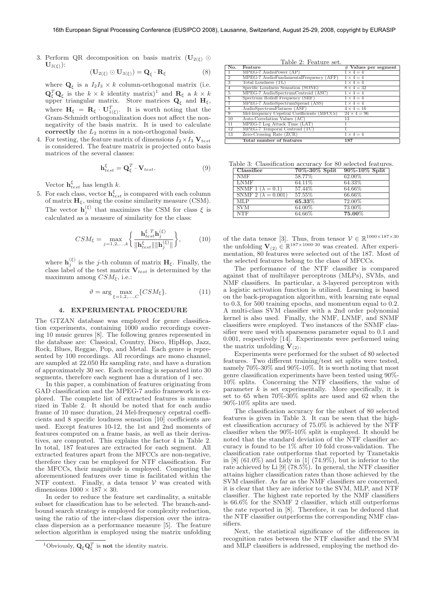3. Perform QR decomposition on basis matrix  $(\mathbf{U}_{2(\xi)})$  $\mathbf{U}_{3(\xi)}$ ):

$$
(\mathbf{U}_{2(\xi)} \odot \mathbf{U}_{3(\xi)}) = \mathbf{Q}_{\xi} \cdot \mathbf{R}_{\xi}
$$
 (8)

where  $\mathbf{Q}_{\xi}$  is a  $I_2I_3 \times k$  column-orthogonal matrix (i.e.  $\mathbf{Q}_{\xi}^{T} \mathbf{Q}_{\xi}$  is the  $k \times k$  identity matrix)<sup>1</sup> and  $\mathbf{R}_{\xi}$  a  $k \times k$ upper triangular matrix. Store matrices  $\mathbf{Q}_{\xi}$  and  $\mathbf{H}_{\xi}$ , where  $H_{\xi} = \mathbf{R}_{\xi} \cdot \mathbf{U}_{1(\xi)}^T$ . It is worth noting that the Gram-Schmidt orthogonalization does not affect the nonnegativity of the basis matrix. It is used to calculate **correctly** the  $L_2$  norms in a non-orthogonal basis.

4. For testing, the feature matrix of dimensions  $I_2 \times I_3$   $\mathbf{V}_{test}$ is considered. The feature matrix is projected onto basis matrices of the several classes:

$$
\mathbf{h}_{test}^{\xi} = \mathbf{Q}_{\xi}^{T} \cdot \mathbf{V}_{test}.
$$
 (9)

Vector  $\mathbf{h}_{test}^{\xi}$  has length k.

5. For each class, vector  $\mathbf{h}^{\xi}_{test}$  is compared with each column of matrix  $\mathbf{H}_{\xi}$ , using the cosine similarity measure (CSM). The vector  $\mathbf{h}_j^{(\xi)}$  that maximizes the CSM for class  $\xi$  is calculated as a measure of similarity for the class:

$$
CSM_{\xi} = \max_{j=1,2,...,k} \left\{ \frac{\mathbf{h}_{test}^{\xi} \mathbf{h}_{j}^{(\xi)}}{\|\mathbf{h}_{test}^{\xi}\|\|\mathbf{h}_{j}^{(\xi)}\|} \right\},
$$
(10)

where  $\mathbf{h}_{j}^{(\xi)}$  is the *j*-th column of matrix  $\mathbf{H}_{\xi}$ . Finally, the class label of the test matrix  $V_{test}$  is determined by the maximum among  $CSM_{\xi}$ , i.e.:

$$
\vartheta = \arg\max_{\xi = 1, 2, \dots, C} \{CSM_{\xi}\}.
$$
 (11)

#### **4. EXPERIMENTAL PROCEDURE**

The GTZAN database was employed for genre classification experiments, containing 1000 audio recordings covering 10 music genres [8]. The following genres represented in the database are: Classical, Country, Disco, HipHop, Jazz, Rock, Blues, Reggae, Pop, and Metal. Each genre is represented by 100 recordings. All recordings are mono channel, are sampled at 22.050 Hz sampling rate, and have a duration of approximately 30 sec. Each recording is separated into 30 segments, therefore each segment has a duration of 1 sec.

In this paper, a combination of features originating from GAD classification and the MPEG-7 audio framework is explored. The complete list of extracted features is summarized in Table 2. It should be noted that for each audio frame of 10 msec duration, 24 Mel-frequency cepstral coefficients and 8 specific loudness sensation [10] coefficients are used. Except features 10-12, the 1st and 2nd moments of features computed on a frame basis, as well as their derivatives, are computed. This explains the factor 4 in Table 2. In total, 187 features are extracted for each segment. All extracted features apart from the MFCCs are non-negative, therefore they can be employed for NTF classification. For the MFCCs, their magnitude is employed. Computing the aforementioned features over time is facilitated within the NTF context. Finally, a data tensor  $V$  was created with dimensions  $1000 \times 187 \times 30$ .

In order to reduce the feature set cardinality, a suitable subset for classification has to be selected. The branch-andbound search strategy is employed for complexity reduction, using the ratio of the inter-class dispersion over the intraclass dispersion as a performance measure [5]. The feature selection algorithm is employed using the matrix unfolding

Table 2: Feature set.

| $\overline{\text{No}}$ . | Feature                                     | $#$ Values per segment |
|--------------------------|---------------------------------------------|------------------------|
| -1                       | MPEG-7 AudioPower (AP)                      | $1 \times 4 = 4$       |
| -2                       | MPEG-7 AudioFundamentalFrequency (AFF)      | $1 \times 4 = 4$       |
| -3                       | Total Loudness (TL)                         | $1 \times 4 = 4$       |
| -4                       | Specific Loudness Sensation (SONE)          | $8 \times 4 = 32$      |
| -5                       | MPEG-7 AudioSpectrumCentroid (ASC)          | $1 \times 4 = 4$       |
| $6^{\circ}$              | Spectrum Rolloff Frequency (SRF)            | $1 \times 4 = 4$       |
| -7                       | MPEG-7 AudioSpectrumSpread (ASS)            | $1 \times 4 = 4$       |
| -8                       | AudioSpectrumFlatness (ASF)                 | $4 \times 4 = 16$      |
| 9                        | Mel-frequency Cepstral Coefficients (MFCCs) | $24 \times 4 = 96$     |
| 10                       | Auto-Correlation Values (AC)                | 13                     |
| 11                       | MPEG-7 Log Attack Time (LAT)                |                        |
| 12                       | MPEG-7 Temporal Centroid (TC)               |                        |
| $\overline{1}3$          | Zero-Crossing Rate (ZCR)                    | $1 \times 4 = 4$       |
|                          | Total number of features                    | 187                    |

|  | Table 3: Classification accuracy for 80 selected features. |  |  |  |  |
|--|------------------------------------------------------------|--|--|--|--|
|--|------------------------------------------------------------|--|--|--|--|

| Classifier                   | 70%-30% Split | 90%-10% Split |
|------------------------------|---------------|---------------|
| <b>NMF</b>                   | 58.77%        | 62.00%        |
| <b>LNMF</b>                  | 64.11%        | 64.33%        |
| SNMF $1(\lambda = 0.1)$      | 57.44%        | 64.66%        |
| SNMF 2 ( $\lambda = 0.001$ ) | 57.55%        | 66.66%        |
| $\overline{\text{MLP}}$      | $65.33\%$     | 72.00%        |
| <b>SVM</b>                   | 64.00%        | 73.00%        |
| <b>NTF</b>                   | 64.66%        | $75.00\%$     |

of the data tensor [3]. Thus, from tensor  $\mathcal{V} \in \mathbb{R}^{1000 \times 187 \times 30}$ the unfolding  $\mathbf{V}_{(2)} \in \mathbb{R}^{187 \times 1000 \cdot 30}$  was created. After experimentation, 80 features were selected out of the 187. Most of the selected features belong to the class of MFCCs.

The performance of the NTF classifier is compared against that of multilayer perceptrons (MLPs), SVMs, and NMF classifiers. In particular, a 3-layered perceptron with a logistic activation function is utilized. Learning is based on the back-propagation algorithm, with learning rate equal to 0.3, for 500 training epochs, and momentum equal to 0.2. A multi-class SVM classifier with a 2nd order polynomial kernel is also used. Finally, the NMF, LNMF, and SNMF classifiers were employed. Two instances of the SNMF classifier were used with sparseness parameter equal to 0.1 and 0.001, respectively [14]. Experiments were performed using the matrix unfolding  $V_{(2)}$ .

Experiments were performed for the subset of 80 selected features. Two different training/test set splits were tested, namely 70%-30% and 90%-10%. It is worth noting that most genre classification experiments have been tested using 90%- 10% splits. Concerning the NTF classifiers, the value of parameter  $k$  is set experimentally. More specifically, it is set to 65 when 70%-30% splits are used and 62 when the 90%-10% splits are used.

The classification accuracy for the subset of 80 selected features is given in Table 3. It can be seen that the highest classification accuracy of 75.0% is achieved by the NTF classifier when the 90%-10% split is employed. It should be noted that the standard deviation of the NTF classifier accuracy is found to be 1% after 10 fold cross-validation. The classification rate outperforms that reported by Tzanetakis in  $[8]$   $(61.0\%)$  and Lidy in  $[1]$   $(74.9\%)$ , but is inferior to the rate achieved by Li [9] (78.5%). In general, the NTF classifier attains higher classification rates than those achieved by the SVM classifier. As far as the NMF classifiers are concerned, it is clear that they are inferior to the SVM, MLP, and NTF classifier. The highest rate reported by the NMF classifiers is 66.6% for the SNMF 2 classifier, which still outperforms the rate reported in [8]. Therefore, it can be deduced that the NTF classifier outperforms the corresponding NMF classifiers.

Next, the statistical significance of the differences in recognition rates between the NTF classifier and the SVM and MLP classifiers is addressed, employing the method de-

<sup>&</sup>lt;sup>1</sup>Obviously,  $\mathbf{Q}_{\xi} \mathbf{Q}_{\xi}^T$  is **not** the identity matrix.